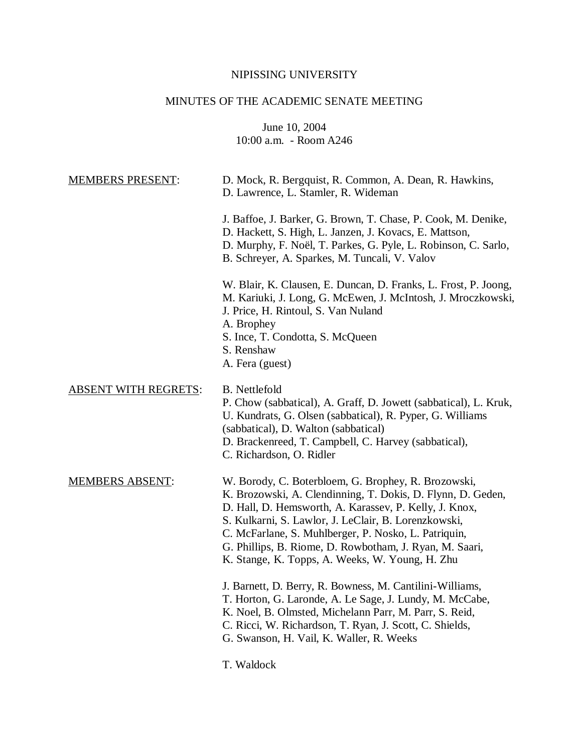## NIPISSING UNIVERSITY

# MINUTES OF THE ACADEMIC SENATE MEETING

June 10, 2004 10:00 a.m. - Room A246

| <b>MEMBERS PRESENT:</b>     | D. Mock, R. Bergquist, R. Common, A. Dean, R. Hawkins,<br>D. Lawrence, L. Stamler, R. Wideman                                                                                                                                                                                                                                                                                                              |
|-----------------------------|------------------------------------------------------------------------------------------------------------------------------------------------------------------------------------------------------------------------------------------------------------------------------------------------------------------------------------------------------------------------------------------------------------|
|                             | J. Baffoe, J. Barker, G. Brown, T. Chase, P. Cook, M. Denike,<br>D. Hackett, S. High, L. Janzen, J. Kovacs, E. Mattson,<br>D. Murphy, F. Noël, T. Parkes, G. Pyle, L. Robinson, C. Sarlo,<br>B. Schreyer, A. Sparkes, M. Tuncali, V. Valov                                                                                                                                                                 |
|                             | W. Blair, K. Clausen, E. Duncan, D. Franks, L. Frost, P. Joong,<br>M. Kariuki, J. Long, G. McEwen, J. McIntosh, J. Mroczkowski,<br>J. Price, H. Rintoul, S. Van Nuland<br>A. Brophey<br>S. Ince, T. Condotta, S. McQueen<br>S. Renshaw<br>A. Fera (guest)                                                                                                                                                  |
| <b>ABSENT WITH REGRETS:</b> | B. Nettlefold<br>P. Chow (sabbatical), A. Graff, D. Jowett (sabbatical), L. Kruk,<br>U. Kundrats, G. Olsen (sabbatical), R. Pyper, G. Williams<br>(sabbatical), D. Walton (sabbatical)<br>D. Brackenreed, T. Campbell, C. Harvey (sabbatical),<br>C. Richardson, O. Ridler                                                                                                                                 |
| <b>MEMBERS ABSENT:</b>      | W. Borody, C. Boterbloem, G. Brophey, R. Brozowski,<br>K. Brozowski, A. Clendinning, T. Dokis, D. Flynn, D. Geden,<br>D. Hall, D. Hemsworth, A. Karassev, P. Kelly, J. Knox,<br>S. Kulkarni, S. Lawlor, J. LeClair, B. Lorenzkowski,<br>C. McFarlane, S. Muhlberger, P. Nosko, L. Patriquin,<br>G. Phillips, B. Riome, D. Rowbotham, J. Ryan, M. Saari,<br>K. Stange, K. Topps, A. Weeks, W. Young, H. Zhu |
|                             | J. Barnett, D. Berry, R. Bowness, M. Cantilini-Williams,<br>T. Horton, G. Laronde, A. Le Sage, J. Lundy, M. McCabe,<br>K. Noel, B. Olmsted, Michelann Parr, M. Parr, S. Reid,<br>C. Ricci, W. Richardson, T. Ryan, J. Scott, C. Shields,<br>G. Swanson, H. Vail, K. Waller, R. Weeks                                                                                                                       |

T. Waldock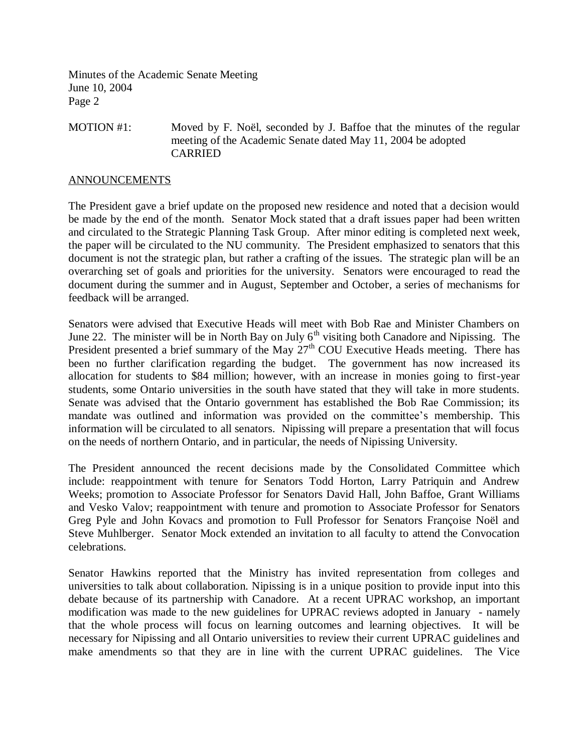MOTION #1: Moved by F. Noël, seconded by J. Baffoe that the minutes of the regular meeting of the Academic Senate dated May 11, 2004 be adopted CARRIED

#### ANNOUNCEMENTS

The President gave a brief update on the proposed new residence and noted that a decision would be made by the end of the month. Senator Mock stated that a draft issues paper had been written and circulated to the Strategic Planning Task Group. After minor editing is completed next week, the paper will be circulated to the NU community. The President emphasized to senators that this document is not the strategic plan, but rather a crafting of the issues. The strategic plan will be an overarching set of goals and priorities for the university. Senators were encouraged to read the document during the summer and in August, September and October, a series of mechanisms for feedback will be arranged.

Senators were advised that Executive Heads will meet with Bob Rae and Minister Chambers on June 22. The minister will be in North Bay on July  $6<sup>th</sup>$  visiting both Canadore and Nipissing. The President presented a brief summary of the May  $27<sup>th</sup>$  COU Executive Heads meeting. There has been no further clarification regarding the budget. The government has now increased its allocation for students to \$84 million; however, with an increase in monies going to first-year students, some Ontario universities in the south have stated that they will take in more students. Senate was advised that the Ontario government has established the Bob Rae Commission; its mandate was outlined and information was provided on the committee's membership. This information will be circulated to all senators. Nipissing will prepare a presentation that will focus on the needs of northern Ontario, and in particular, the needs of Nipissing University.

The President announced the recent decisions made by the Consolidated Committee which include: reappointment with tenure for Senators Todd Horton, Larry Patriquin and Andrew Weeks; promotion to Associate Professor for Senators David Hall, John Baffoe, Grant Williams and Vesko Valov; reappointment with tenure and promotion to Associate Professor for Senators Greg Pyle and John Kovacs and promotion to Full Professor for Senators Françoise Noël and Steve Muhlberger. Senator Mock extended an invitation to all faculty to attend the Convocation celebrations.

Senator Hawkins reported that the Ministry has invited representation from colleges and universities to talk about collaboration. Nipissing is in a unique position to provide input into this debate because of its partnership with Canadore. At a recent UPRAC workshop, an important modification was made to the new guidelines for UPRAC reviews adopted in January - namely that the whole process will focus on learning outcomes and learning objectives. It will be necessary for Nipissing and all Ontario universities to review their current UPRAC guidelines and make amendments so that they are in line with the current UPRAC guidelines. The Vice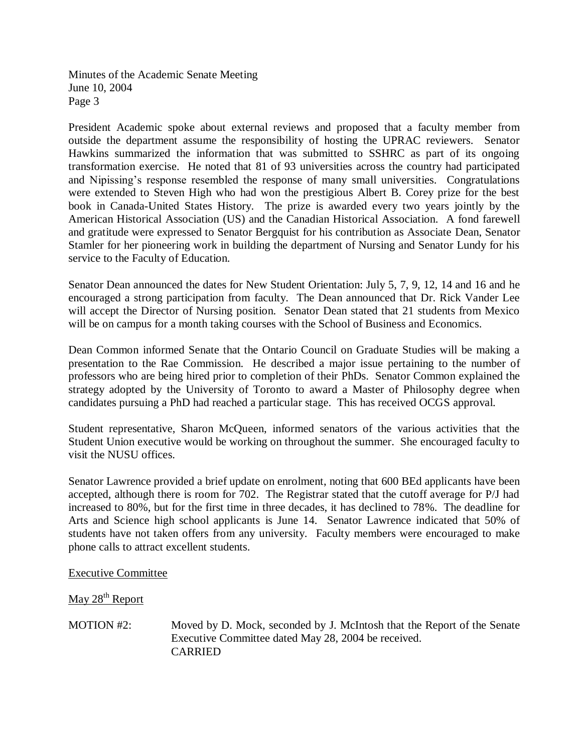President Academic spoke about external reviews and proposed that a faculty member from outside the department assume the responsibility of hosting the UPRAC reviewers. Senator Hawkins summarized the information that was submitted to SSHRC as part of its ongoing transformation exercise. He noted that 81 of 93 universities across the country had participated and Nipissing's response resembled the response of many small universities. Congratulations were extended to Steven High who had won the prestigious Albert B. Corey prize for the best book in Canada-United States History. The prize is awarded every two years jointly by the American Historical Association (US) and the Canadian Historical Association. A fond farewell and gratitude were expressed to Senator Bergquist for his contribution as Associate Dean, Senator Stamler for her pioneering work in building the department of Nursing and Senator Lundy for his service to the Faculty of Education.

Senator Dean announced the dates for New Student Orientation: July 5, 7, 9, 12, 14 and 16 and he encouraged a strong participation from faculty. The Dean announced that Dr. Rick Vander Lee will accept the Director of Nursing position. Senator Dean stated that 21 students from Mexico will be on campus for a month taking courses with the School of Business and Economics.

Dean Common informed Senate that the Ontario Council on Graduate Studies will be making a presentation to the Rae Commission. He described a major issue pertaining to the number of professors who are being hired prior to completion of their PhDs. Senator Common explained the strategy adopted by the University of Toronto to award a Master of Philosophy degree when candidates pursuing a PhD had reached a particular stage. This has received OCGS approval.

Student representative, Sharon McQueen, informed senators of the various activities that the Student Union executive would be working on throughout the summer. She encouraged faculty to visit the NUSU offices.

Senator Lawrence provided a brief update on enrolment, noting that 600 BEd applicants have been accepted, although there is room for 702. The Registrar stated that the cutoff average for P/J had increased to 80%, but for the first time in three decades, it has declined to 78%. The deadline for Arts and Science high school applicants is June 14. Senator Lawrence indicated that 50% of students have not taken offers from any university. Faculty members were encouraged to make phone calls to attract excellent students.

Executive Committee

May 28<sup>th</sup> Report

MOTION #2: Moved by D. Mock, seconded by J. McIntosh that the Report of the Senate Executive Committee dated May 28, 2004 be received. CARRIED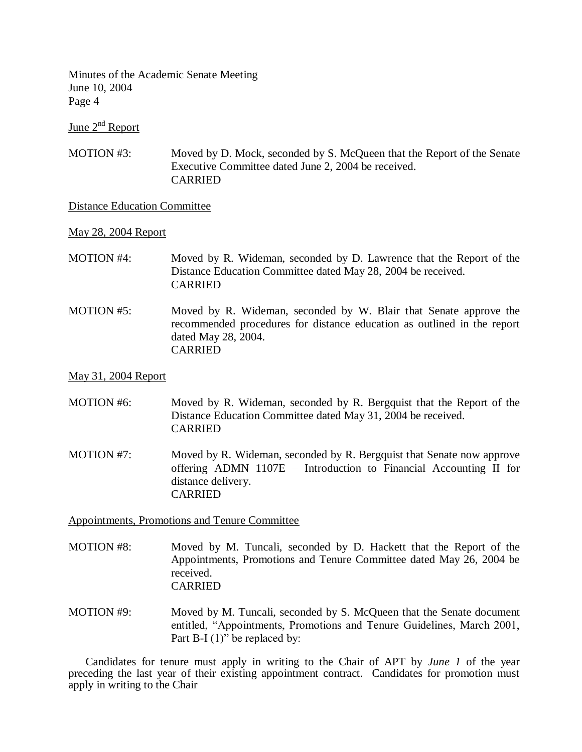June  $2^{nd}$  Report

MOTION #3: Moved by D. Mock, seconded by S. McQueen that the Report of the Senate Executive Committee dated June 2, 2004 be received. CARRIED

### Distance Education Committee

May 28, 2004 Report

- MOTION #4: Moved by R. Wideman, seconded by D. Lawrence that the Report of the Distance Education Committee dated May 28, 2004 be received. CARRIED
- MOTION #5: Moved by R. Wideman, seconded by W. Blair that Senate approve the recommended procedures for distance education as outlined in the report dated May 28, 2004. **CARRIED**

#### May 31, 2004 Report

- MOTION #6: Moved by R. Wideman, seconded by R. Bergquist that the Report of the Distance Education Committee dated May 31, 2004 be received. CARRIED
- MOTION #7: Moved by R. Wideman, seconded by R. Bergquist that Senate now approve offering ADMN 1107E – Introduction to Financial Accounting II for distance delivery. CARRIED

Appointments, Promotions and Tenure Committee

- MOTION #8: Moved by M. Tuncali, seconded by D. Hackett that the Report of the Appointments, Promotions and Tenure Committee dated May 26, 2004 be received. CARRIED
- MOTION #9: Moved by M. Tuncali, seconded by S. McQueen that the Senate document entitled, "Appointments, Promotions and Tenure Guidelines, March 2001, Part B-I (1)" be replaced by:

Candidates for tenure must apply in writing to the Chair of APT by *June 1* of the year preceding the last year of their existing appointment contract. Candidates for promotion must apply in writing to the Chair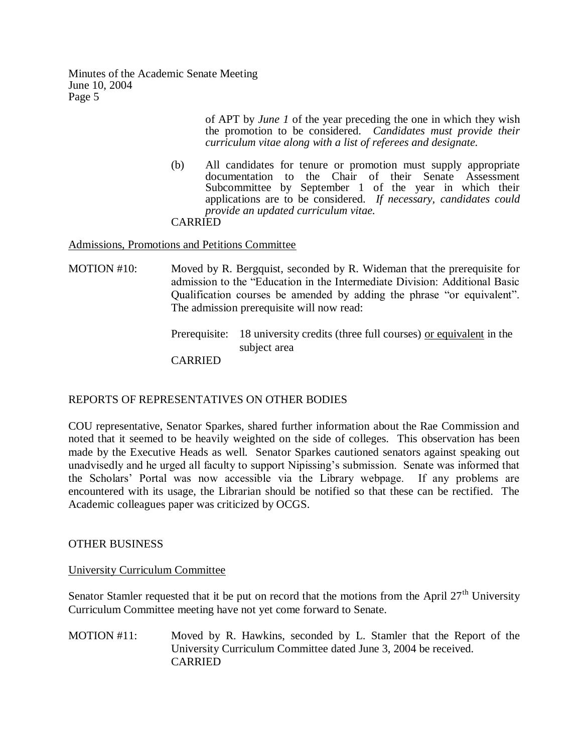> of APT by *June 1* of the year preceding the one in which they wish the promotion to be considered. *Candidates must provide their curriculum vitae along with a list of referees and designate.*

(b) All candidates for tenure or promotion must supply appropriate documentation to the Chair of their Senate Assessment Subcommittee by September 1 of the year in which their applications are to be considered. *If necessary, candidates could provide an updated curriculum vitae.* CARRIED

Admissions, Promotions and Petitions Committee

- MOTION #10: Moved by R. Bergquist, seconded by R. Wideman that the prerequisite for admission to the "Education in the Intermediate Division: Additional Basic Qualification courses be amended by adding the phrase "or equivalent". The admission prerequisite will now read:
	- Prerequisite: 18 university credits (three full courses) or equivalent in the subject area

**CARRIED** 

## REPORTS OF REPRESENTATIVES ON OTHER BODIES

COU representative, Senator Sparkes, shared further information about the Rae Commission and noted that it seemed to be heavily weighted on the side of colleges. This observation has been made by the Executive Heads as well. Senator Sparkes cautioned senators against speaking out unadvisedly and he urged all faculty to support Nipissing's submission. Senate was informed that the Scholars' Portal was now accessible via the Library webpage. If any problems are encountered with its usage, the Librarian should be notified so that these can be rectified. The Academic colleagues paper was criticized by OCGS.

## OTHER BUSINESS

## University Curriculum Committee

Senator Stamler requested that it be put on record that the motions from the April  $27<sup>th</sup>$  University Curriculum Committee meeting have not yet come forward to Senate.

MOTION #11: Moved by R. Hawkins, seconded by L. Stamler that the Report of the University Curriculum Committee dated June 3, 2004 be received. CARRIED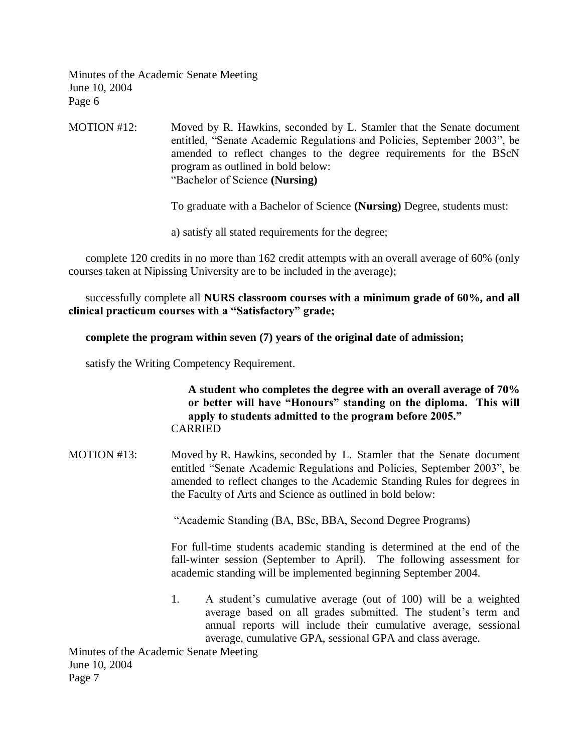MOTION #12: Moved by R. Hawkins, seconded by L. Stamler that the Senate document entitled, "Senate Academic Regulations and Policies, September 2003", be amended to reflect changes to the degree requirements for the BScN program as outlined in bold below: "Bachelor of Science **(Nursing)**

To graduate with a Bachelor of Science **(Nursing)** Degree, students must:

a) satisfy all stated requirements for the degree;

complete 120 credits in no more than 162 credit attempts with an overall average of 60% (only courses taken at Nipissing University are to be included in the average);

successfully complete all **NURS classroom courses with a minimum grade of 60%, and all clinical practicum courses with a "Satisfactory" grade;**

## **complete the program within seven (7) years of the original date of admission;**

satisfy the Writing Competency Requirement.

**A student who completes the degree with an overall average of 70% or better will have "Honours" standing on the diploma. This will apply to students admitted to the program before 2005."** CARRIED

MOTION #13: Moved by R. Hawkins, seconded by L. Stamler that the Senate document entitled "Senate Academic Regulations and Policies, September 2003", be amended to reflect changes to the Academic Standing Rules for degrees in the Faculty of Arts and Science as outlined in bold below:

"Academic Standing (BA, BSc, BBA, Second Degree Programs)

For full-time students academic standing is determined at the end of the fall-winter session (September to April). The following assessment for academic standing will be implemented beginning September 2004.

1. A student's cumulative average (out of 100) will be a weighted average based on all grades submitted. The student's term and annual reports will include their cumulative average, sessional average, cumulative GPA, sessional GPA and class average.

Minutes of the Academic Senate Meeting June 10, 2004 Page 7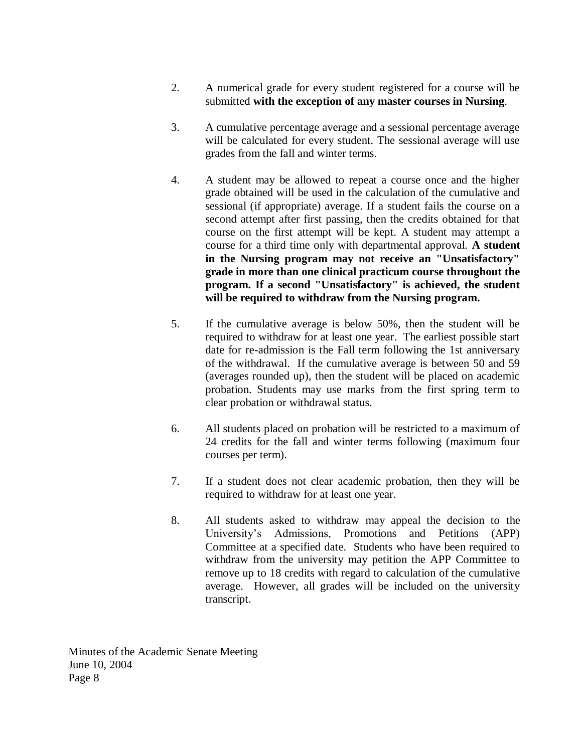- 2. A numerical grade for every student registered for a course will be submitted **with the exception of any master courses in Nursing**.
- 3. A cumulative percentage average and a sessional percentage average will be calculated for every student. The sessional average will use grades from the fall and winter terms.
- 4. A student may be allowed to repeat a course once and the higher grade obtained will be used in the calculation of the cumulative and sessional (if appropriate) average. If a student fails the course on a second attempt after first passing, then the credits obtained for that course on the first attempt will be kept. A student may attempt a course for a third time only with departmental approval. **A student in the Nursing program may not receive an "Unsatisfactory" grade in more than one clinical practicum course throughout the program. If a second "Unsatisfactory" is achieved, the student will be required to withdraw from the Nursing program.**
- 5. If the cumulative average is below 50%, then the student will be required to withdraw for at least one year. The earliest possible start date for re-admission is the Fall term following the 1st anniversary of the withdrawal. If the cumulative average is between 50 and 59 (averages rounded up), then the student will be placed on academic probation. Students may use marks from the first spring term to clear probation or withdrawal status.
- 6. All students placed on probation will be restricted to a maximum of 24 credits for the fall and winter terms following (maximum four courses per term).
- 7. If a student does not clear academic probation, then they will be required to withdraw for at least one year.
- 8. All students asked to withdraw may appeal the decision to the University's Admissions, Promotions and Petitions (APP) Committee at a specified date. Students who have been required to withdraw from the university may petition the APP Committee to remove up to 18 credits with regard to calculation of the cumulative average. However, all grades will be included on the university transcript.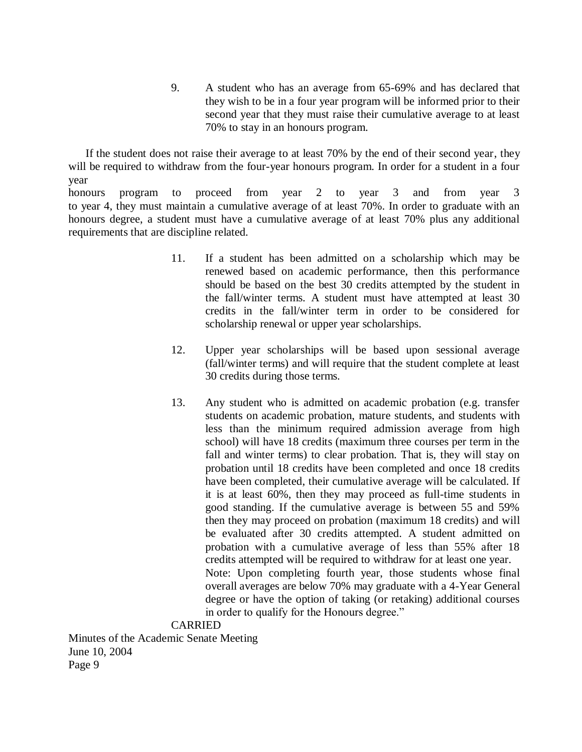9. A student who has an average from 65-69% and has declared that they wish to be in a four year program will be informed prior to their second year that they must raise their cumulative average to at least 70% to stay in an honours program.

If the student does not raise their average to at least 70% by the end of their second year, they will be required to withdraw from the four-year honours program. In order for a student in a four year

honours program to proceed from year 2 to year 3 and from year 3 to year 4, they must maintain a cumulative average of at least 70%. In order to graduate with an honours degree, a student must have a cumulative average of at least 70% plus any additional requirements that are discipline related.

- 11. If a student has been admitted on a scholarship which may be renewed based on academic performance, then this performance should be based on the best 30 credits attempted by the student in the fall/winter terms. A student must have attempted at least 30 credits in the fall/winter term in order to be considered for scholarship renewal or upper year scholarships.
- 12. Upper year scholarships will be based upon sessional average (fall/winter terms) and will require that the student complete at least 30 credits during those terms.
- 13. Any student who is admitted on academic probation (e.g. transfer students on academic probation, mature students, and students with less than the minimum required admission average from high school) will have 18 credits (maximum three courses per term in the fall and winter terms) to clear probation. That is, they will stay on probation until 18 credits have been completed and once 18 credits have been completed, their cumulative average will be calculated. If it is at least 60%, then they may proceed as full-time students in good standing. If the cumulative average is between 55 and 59% then they may proceed on probation (maximum 18 credits) and will be evaluated after 30 credits attempted. A student admitted on probation with a cumulative average of less than 55% after 18 credits attempted will be required to withdraw for at least one year. Note: Upon completing fourth year, those students whose final overall averages are below 70% may graduate with a 4-Year General degree or have the option of taking (or retaking) additional courses in order to qualify for the Honours degree."

#### CARRIED

Minutes of the Academic Senate Meeting June 10, 2004 Page 9